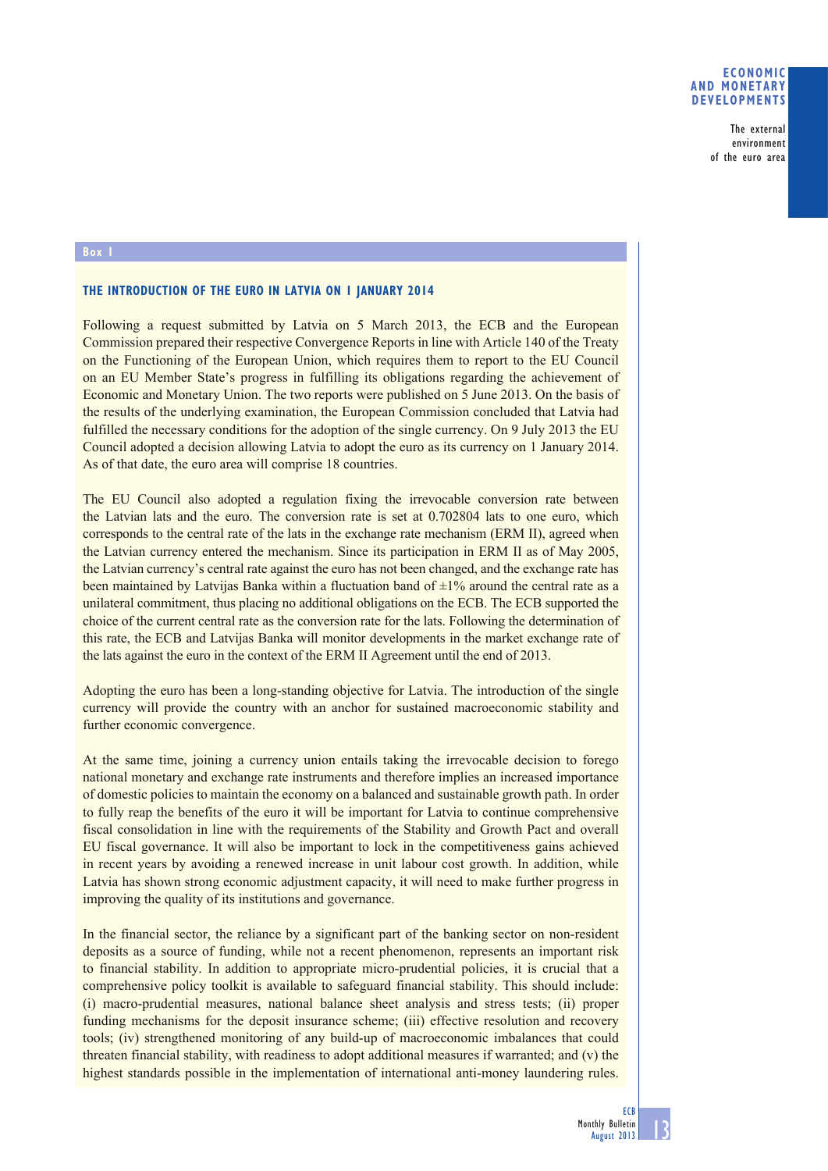## **ECONOMIC AND MONETARY DEVELOPMENTS**

The external environment of the euro area

## **Box 1**

## **THE INTRODUCTION OF THE EURO IN LATVIA ON 1 JANUARY 2014**

Following a request submitted by Latvia on 5 March 2013, the ECB and the European Commission prepared their respective Convergence Reports in line with Article 140 of the Treaty on the Functioning of the European Union, which requires them to report to the EU Council on an EU Member State's progress in fulfilling its obligations regarding the achievement of Economic and Monetary Union. The two reports were published on 5 June 2013. On the basis of the results of the underlying examination, the European Commission concluded that Latvia had fulfilled the necessary conditions for the adoption of the single currency. On 9 July 2013 the EU Council adopted a decision allowing Latvia to adopt the euro as its currency on 1 January 2014. As of that date, the euro area will comprise 18 countries.

The EU Council also adopted a regulation fixing the irrevocable conversion rate between the Latvian lats and the euro. The conversion rate is set at 0.702804 lats to one euro, which corresponds to the central rate of the lats in the exchange rate mechanism (ERM II), agreed when the Latvian currency entered the mechanism. Since its participation in ERM II as of May 2005, the Latvian currency's central rate against the euro has not been changed, and the exchange rate has been maintained by Latvijas Banka within a fluctuation band of  $\pm 1\%$  around the central rate as a unilateral commitment, thus placing no additional obligations on the ECB. The ECB supported the choice of the current central rate as the conversion rate for the lats. Following the determination of this rate, the ECB and Latvijas Banka will monitor developments in the market exchange rate of the lats against the euro in the context of the ERM II Agreement until the end of 2013.

Adopting the euro has been a long-standing objective for Latvia. The introduction of the single currency will provide the country with an anchor for sustained macroeconomic stability and further economic convergence.

At the same time, joining a currency union entails taking the irrevocable decision to forego national monetary and exchange rate instruments and therefore implies an increased importance of domestic policies to maintain the economy on a balanced and sustainable growth path. In order to fully reap the benefits of the euro it will be important for Latvia to continue comprehensive fiscal consolidation in line with the requirements of the Stability and Growth Pact and overall EU fiscal governance. It will also be important to lock in the competitiveness gains achieved in recent years by avoiding a renewed increase in unit labour cost growth. In addition, while Latvia has shown strong economic adjustment capacity, it will need to make further progress in improving the quality of its institutions and governance.

In the financial sector, the reliance by a significant part of the banking sector on non-resident deposits as a source of funding, while not a recent phenomenon, represents an important risk to financial stability. In addition to appropriate micro-prudential policies, it is crucial that a comprehensive policy toolkit is available to safeguard financial stability. This should include: (i) macro-prudential measures, national balance sheet analysis and stress tests; (ii) proper funding mechanisms for the deposit insurance scheme; (iii) effective resolution and recovery tools; (iv) strengthened monitoring of any build-up of macroeconomic imbalances that could threaten financial stability, with readiness to adopt additional measures if warranted; and (v) the highest standards possible in the implementation of international anti-money laundering rules.